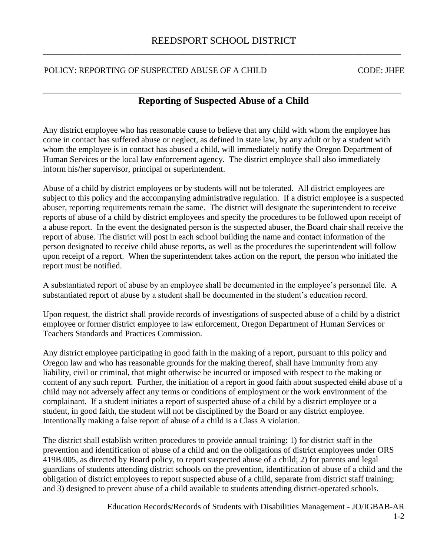## POLICY: REPORTING OF SUSPECTED ABUSE OF A CHILD CODE: JHFE

## \_\_\_\_\_\_\_\_\_\_\_\_\_\_\_\_\_\_\_\_\_\_\_\_\_\_\_\_\_\_\_\_\_\_\_\_\_\_\_\_\_\_\_\_\_\_\_\_\_\_\_\_\_\_\_\_\_\_\_\_\_\_\_\_\_\_\_\_\_\_\_\_\_\_\_\_\_\_\_\_\_\_\_\_\_ **Reporting of Suspected Abuse of a Child**

Any district employee who has reasonable cause to believe that any child with whom the employee has come in contact has suffered abuse or neglect, as defined in state law, by any adult or by a student with whom the employee is in contact has abused a child, will immediately notify the Oregon Department of Human Services or the local law enforcement agency. The district employee shall also immediately inform his/her supervisor, principal or superintendent.

Abuse of a child by district employees or by students will not be tolerated. All district employees are subject to this policy and the accompanying administrative regulation. If a district employee is a suspected abuser, reporting requirements remain the same. The district will designate the superintendent to receive reports of abuse of a child by district employees and specify the procedures to be followed upon receipt of a abuse report. In the event the designated person is the suspected abuser, the Board chair shall receive the report of abuse. The district will post in each school building the name and contact information of the person designated to receive child abuse reports, as well as the procedures the superintendent will follow upon receipt of a report. When the superintendent takes action on the report, the person who initiated the report must be notified.

A substantiated report of abuse by an employee shall be documented in the employee's personnel file. A substantiated report of abuse by a student shall be documented in the student's education record.

Upon request, the district shall provide records of investigations of suspected abuse of a child by a district employee or former district employee to law enforcement, Oregon Department of Human Services or Teachers Standards and Practices Commission.

Any district employee participating in good faith in the making of a report, pursuant to this policy and Oregon law and who has reasonable grounds for the making thereof, shall have immunity from any liability, civil or criminal, that might otherwise be incurred or imposed with respect to the making or content of any such report. Further, the initiation of a report in good faith about suspected child abuse of a child may not adversely affect any terms or conditions of employment or the work environment of the complainant. If a student initiates a report of suspected abuse of a child by a district employee or a student, in good faith, the student will not be disciplined by the Board or any district employee. Intentionally making a false report of abuse of a child is a Class A violation.

The district shall establish written procedures to provide annual training: 1) for district staff in the prevention and identification of abuse of a child and on the obligations of district employees under ORS 419B.005, as directed by Board policy, to report suspected abuse of a child; 2) for parents and legal guardians of students attending district schools on the prevention, identification of abuse of a child and the obligation of district employees to report suspected abuse of a child, separate from district staff training; and 3) designed to prevent abuse of a child available to students attending district-operated schools.

Education Records/Records of Students with Disabilities Management - JO/IGBAB-AR